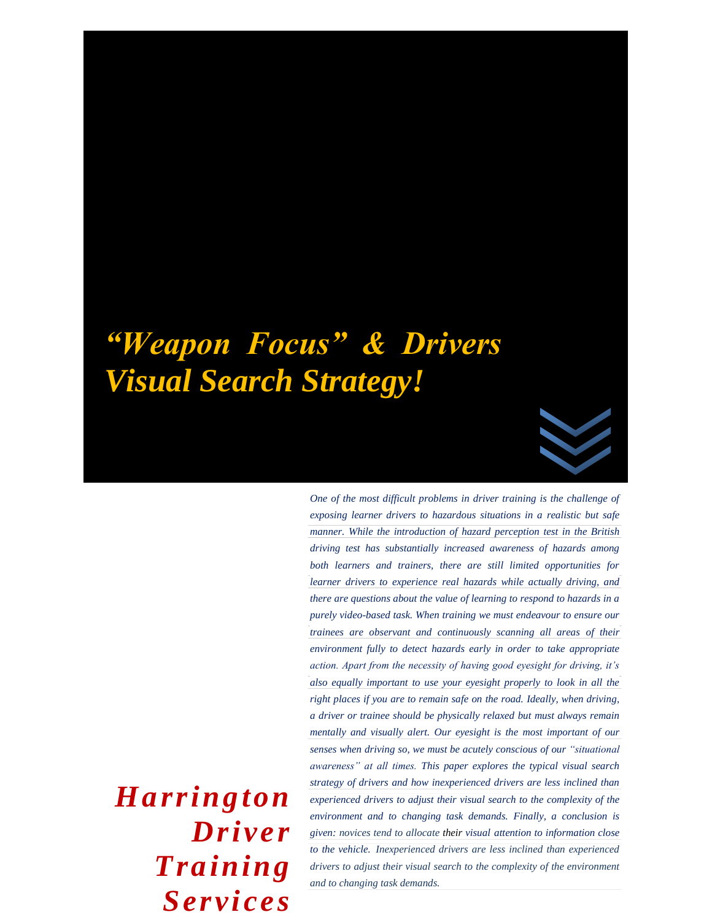# *"Weapon Focus" & Drivers Visual Search Strategy!*



*One of the most difficult problems in driver training is the challenge of exposing learner drivers to hazardous situations in a realistic but safe manner. While the introduction of hazard perception test in the British driving test has substantially increased awareness of hazards among both learners and trainers, there are still limited opportunities for learner drivers to experience real hazards while actually driving, and there are questions about the value of learning to respond to hazards in a purely video-based task. When training we must endeavour to ensure our trainees are observant and continuously scanning all areas of their environment fully to detect hazards early in order to take appropriate action. Apart from the necessity of having good eyesight for driving, it's also equally important to use your eyesight properly to look in all the right places if you are to remain safe on the road. Ideally, when driving, a driver or trainee should be physically relaxed but must always remain mentally and visually alert. Our eyesight is the most important of our senses when driving so, we must be acutely conscious of our "situational awareness" at all times. This paper explores the typical visual search strategy of drivers and how inexperienced drivers are less inclined than experienced drivers to adjust their visual search to the complexity of the environment and to changing task demands. Finally, a conclusion is given: novices tend to allocate their visual attention to information close to the vehicle. Inexperienced drivers are less inclined than experienced drivers to adjust their visual search to the complexity of the environment and to changing task demands.*

*Harrington Driver Training Services*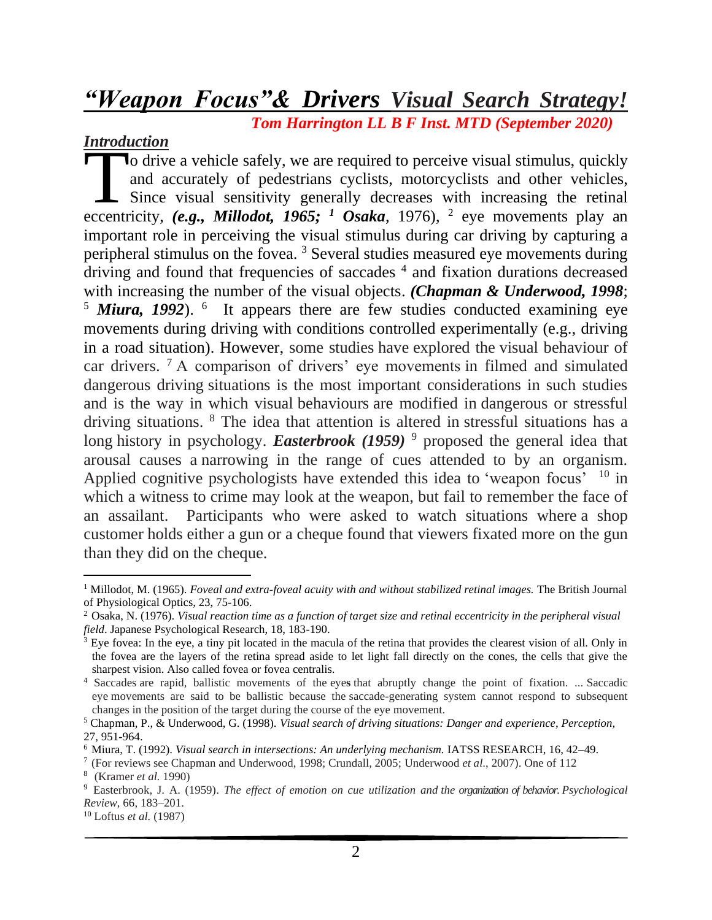# *"Weapon Focus"& Drivers Visual Search Strategy!*

*Tom Harrington LL B F Inst. MTD (September 2020)*

#### *Introduction*

o drive a vehicle safely, we are required to perceive visual stimulus, quickly and accurately of pedestrians cyclists, motorcyclists and other vehicles, Since visual sensitivity generally decreases with increasing the retinal **Example 3** a vehicle safely, we are required to perceive visual stimulus, quickly and accurately of pedestrians cyclists, motorcyclists and other vehicles, Since visual sensitivity generally decreases with increasing the important role in perceiving the visual stimulus during car driving by capturing a peripheral stimulus on the fovea. <sup>3</sup> Several studies measured eye movements during driving and found that frequencies of saccades <sup>4</sup> and fixation durations decreased with increasing the number of the visual objects. *(Chapman & Underwood, 1998*; <sup>5</sup> Miura, 1992). <sup>6</sup> It appears there are few studies conducted examining eye movements during driving with conditions controlled experimentally (e.g., driving in a road situation). However, some studies have explored the visual behaviour of car drivers. <sup>7</sup> A comparison of drivers' eye movements in filmed and simulated dangerous driving situations is the most important considerations in such studies and is the way in which visual behaviours are modified in dangerous or stressful driving situations. <sup>8</sup> The idea that attention is altered in stressful situations has a long history in psychology. *Easterbrook* (1959)<sup>9</sup> proposed the general idea that arousal causes a narrowing in the range of cues attended to by an organism. Applied cognitive psychologists have extended this idea to 'weapon focus' <sup>10</sup> in which a witness to crime may look at the weapon, but fail to remember the face of an assailant. Participants who were asked to watch situations where a shop customer holds either a gun or a cheque found that viewers fixated more on the gun than they did on the cheque.

<sup>&</sup>lt;sup>1</sup> Millodot, M. (1965). *Foveal and extra-foveal acuity with and without stabilized retinal images. The British Journal* of Physiological Optics, 23, 75-106.

<sup>2</sup> Osaka, N. (1976). *Visual reaction time as a function of target size and retinal eccentricity in the peripheral visual field*. Japanese Psychological Research, 18, 183-190.

<sup>&</sup>lt;sup>3</sup> Eye fovea: In the eye, a tiny pit located in the macula of the retina that provides the clearest vision of all. Only in the fovea are the layers of the retina spread aside to let light fall directly on the cones, the cells that give the sharpest vision. Also called fovea or fovea centralis.

<sup>4</sup> Saccades are rapid, ballistic movements of the eye**s** that abruptly change the point of fixation. ... Saccadic eye movements are said to be ballistic because the saccade-generating system cannot respond to subsequent changes in the position of the target during the course of the eye movement.

<sup>5</sup> Chapman, P., & Underwood, G. (1998). *Visual search of driving situations: Danger and experience, Perception,*  27, 951-964.

<sup>6</sup> Miura, T. (1992). *Visual search in intersections: An underlying mechanism.* IATSS RESEARCH, 16, 42–49.

<sup>7</sup> (For reviews see Chapman and Underwood, 1998; Crundall, 2005; Underwood *et al*., 2007). One of 112

<sup>8</sup> (Kramer *et al.* 1990)

<sup>9</sup> Easterbrook, J. A. (1959). *The effect of emotion on cue utilization and the organization of behavior. Psychological Review*, 66, 183–201.

<sup>10</sup> Loftus *et al.* (1987)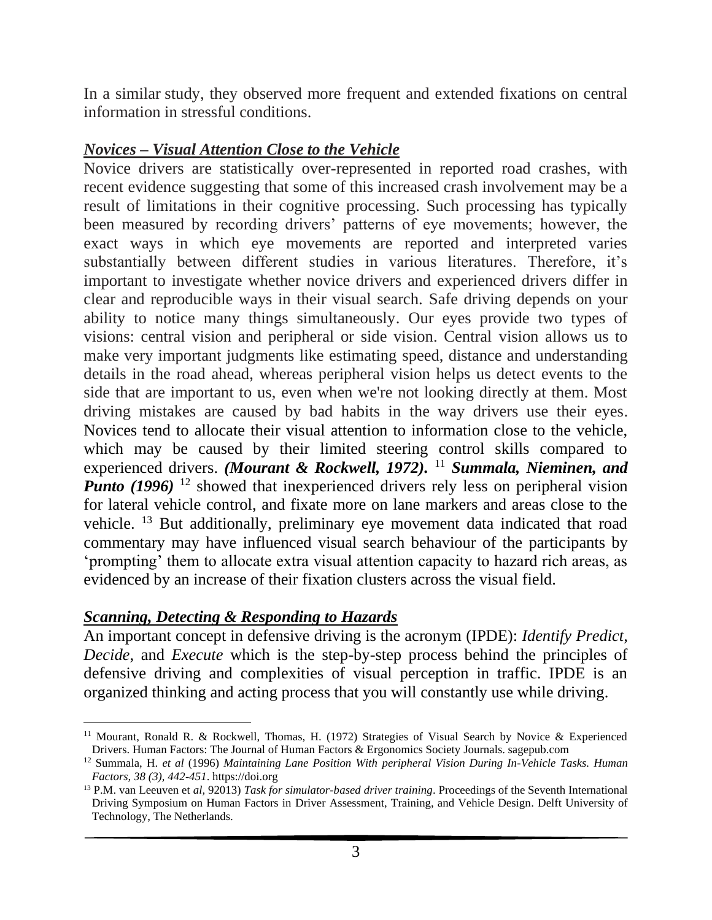In a similar study, they observed more frequent and extended fixations on central information in stressful conditions.

# *Novices – Visual Attention Close to the Vehicle*

Novice drivers are statistically over-represented in reported road crashes, with recent evidence suggesting that some of this increased crash involvement may be a result of limitations in their cognitive processing. Such processing has typically been measured by recording drivers' patterns of eye movements; however, the exact ways in which eye movements are reported and interpreted varies substantially between different studies in various literatures. Therefore, it's important to investigate whether novice drivers and experienced drivers differ in clear and reproducible ways in their visual search. Safe driving depends on your ability to notice many things simultaneously. Our eyes provide two types of visions: central vision and peripheral or side vision. Central vision allows us to make very important judgments like estimating speed, distance and understanding details in the road ahead, whereas peripheral vision helps us detect events to the side that are important to us, even when we're not looking directly at them. Most driving mistakes are caused by bad habits in the way drivers use their eyes. Novices tend to allocate their visual attention to information close to the vehicle, which may be caused by their limited steering control skills compared to experienced drivers. *(Mourant & Rockwell, 1972)*. <sup>11</sup> *Summala, Nieminen, and Punto (1996)* <sup>12</sup> showed that inexperienced drivers rely less on peripheral vision for lateral vehicle control, and fixate more on lane markers and areas close to the vehicle. <sup>13</sup> But additionally, preliminary eye movement data indicated that road commentary may have influenced visual search behaviour of the participants by 'prompting' them to allocate extra visual attention capacity to hazard rich areas, as evidenced by an increase of their fixation clusters across the visual field.

# *Scanning, Detecting & Responding to Hazards*

An important concept in defensive driving is the acronym (IPDE): *Identify Predict, Decide,* and *Execute* which is the step-by-step process behind the principles of defensive driving and complexities of visual perception in traffic. IPDE is an organized thinking and acting process that you will constantly use while driving.

<sup>11</sup> Mourant, Ronald R. & Rockwell, Thomas, H. (1972) Strategies of Visual Search by Novice & Experienced Drivers. Human Factors: The Journal of Human Factors & Ergonomics Society Journals. sagepub.com

<sup>12</sup> Summala, H. *et al* (1996) *Maintaining Lane Position With peripheral Vision During In-Vehicle Tasks. Human Factors, 38 (3), 442-451*. https://doi.org

<sup>13</sup> P.M. van Leeuven et *al,* 92013) *Task for simulator-based driver training*. Proceedings of the Seventh International Driving Symposium on Human Factors in Driver Assessment, Training, and Vehicle Design. Delft University of Technology, The Netherlands.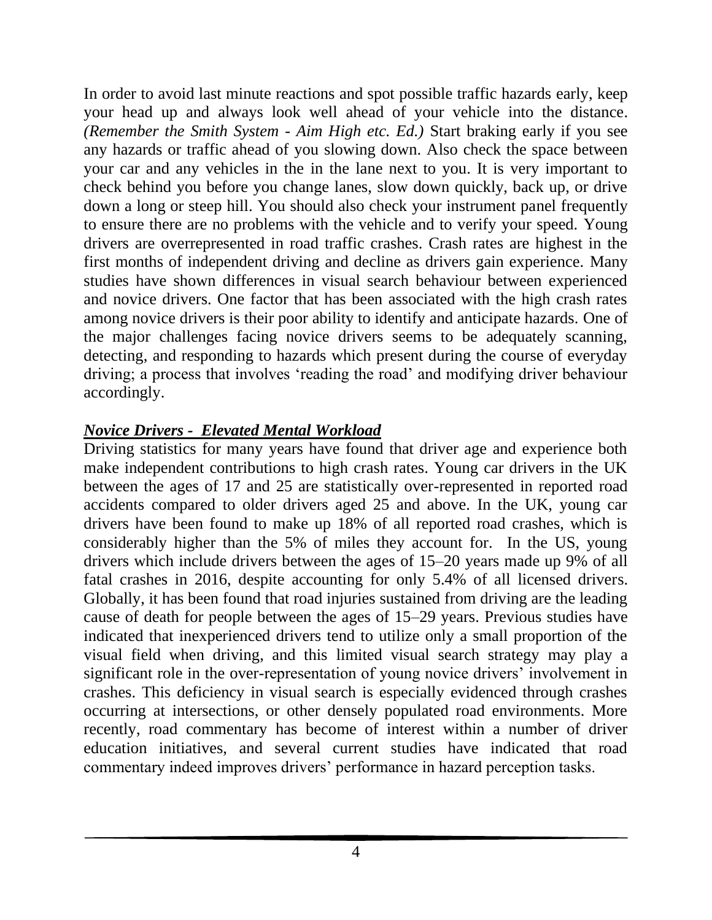In order to avoid last minute reactions and spot possible traffic hazards early, keep your head up and always look well ahead of your vehicle into the distance. *(Remember the Smith System - Aim High etc. Ed.)* Start braking early if you see any hazards or traffic ahead of you slowing down. Also check the space between your car and any vehicles in the in the lane next to you. It is very important to check behind you before you change lanes, slow down quickly, back up, or drive down a long or steep hill. You should also check your instrument panel frequently to ensure there are no problems with the vehicle and to verify your speed. Young drivers are overrepresented in road traffic crashes. Crash rates are highest in the first months of independent driving and decline as drivers gain experience. Many studies have shown differences in visual search behaviour between experienced and novice drivers. One factor that has been associated with the high crash rates among novice drivers is their poor ability to identify and anticipate hazards. One of the major challenges facing novice drivers seems to be adequately scanning, detecting, and responding to hazards which present during the course of everyday driving; a process that involves 'reading the road' and modifying driver behaviour accordingly.

# *Novice Drivers - Elevated Mental Workload*

Driving statistics for many years have found that driver age and experience both make independent contributions to high crash rates. Young car drivers in the UK between the ages of 17 and 25 are statistically over-represented in reported road accidents compared to older drivers aged 25 and above. In the UK, young car drivers have been found to make up 18% of all reported road crashes, which is considerably higher than the 5% of miles they account for. In the US, young drivers which include drivers between the ages of 15–20 years made up 9% of all fatal crashes in 2016, despite accounting for only 5.4% of all licensed drivers. Globally, it has been found that road injuries sustained from driving are the leading cause of death for people between the ages of 15–29 years. Previous studies have indicated that inexperienced drivers tend to utilize only a small proportion of the visual field when driving, and this limited visual search strategy may play a significant role in the over-representation of young novice drivers' involvement in crashes. This deficiency in visual search is especially evidenced through crashes occurring at intersections, or other densely populated road environments. More recently, road commentary has become of interest within a number of driver education initiatives, and several current studies have indicated that road commentary indeed improves drivers' performance in hazard perception tasks.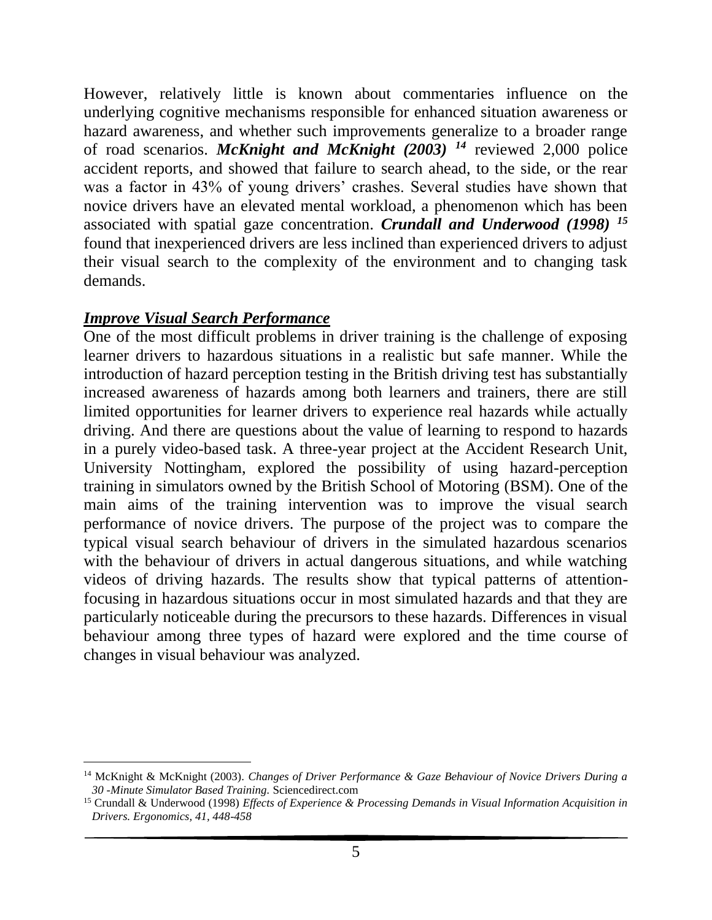However, relatively little is known about commentaries influence on the underlying cognitive mechanisms responsible for enhanced situation awareness or hazard awareness, and whether such improvements generalize to a broader range of road scenarios. *McKnight and McKnight (2003) <sup>14</sup>* reviewed 2,000 police accident reports, and showed that failure to search ahead, to the side, or the rear was a factor in 43% of young drivers' crashes. Several studies have shown that novice drivers have an elevated mental workload, a phenomenon which has been associated with spatial gaze concentration. *Crundall and Underwood (1998) <sup>15</sup>* found that inexperienced drivers are less inclined than experienced drivers to adjust their visual search to the complexity of the environment and to changing task demands.

#### *Improve Visual Search Performance*

One of the most difficult problems in driver training is the challenge of exposing learner drivers to hazardous situations in a realistic but safe manner. While the introduction of hazard perception testing in the British driving test has substantially increased awareness of hazards among both learners and trainers, there are still limited opportunities for learner drivers to experience real hazards while actually driving. And there are questions about the value of learning to respond to hazards in a purely video-based task. A three-year project at the Accident Research Unit, University Nottingham, explored the possibility of using hazard-perception training in simulators owned by the British School of Motoring (BSM). One of the main aims of the training intervention was to improve the visual search performance of novice drivers. The purpose of the project was to compare the typical visual search behaviour of drivers in the simulated hazardous scenarios with the behaviour of drivers in actual dangerous situations, and while watching videos of driving hazards. The results show that typical patterns of attentionfocusing in hazardous situations occur in most simulated hazards and that they are particularly noticeable during the precursors to these hazards. Differences in visual behaviour among three types of hazard were explored and the time course of changes in visual behaviour was analyzed.

<sup>14</sup> McKnight & McKnight (2003). *Changes of Driver Performance & Gaze Behaviour of Novice Drivers During a 30 -Minute Simulator Based Training.* Sciencedirect.com

<sup>15</sup> Crundall & Underwood (1998) *Effects of Experience & Processing Demands in Visual Information Acquisition in Drivers. Ergonomics, 41, 448-458*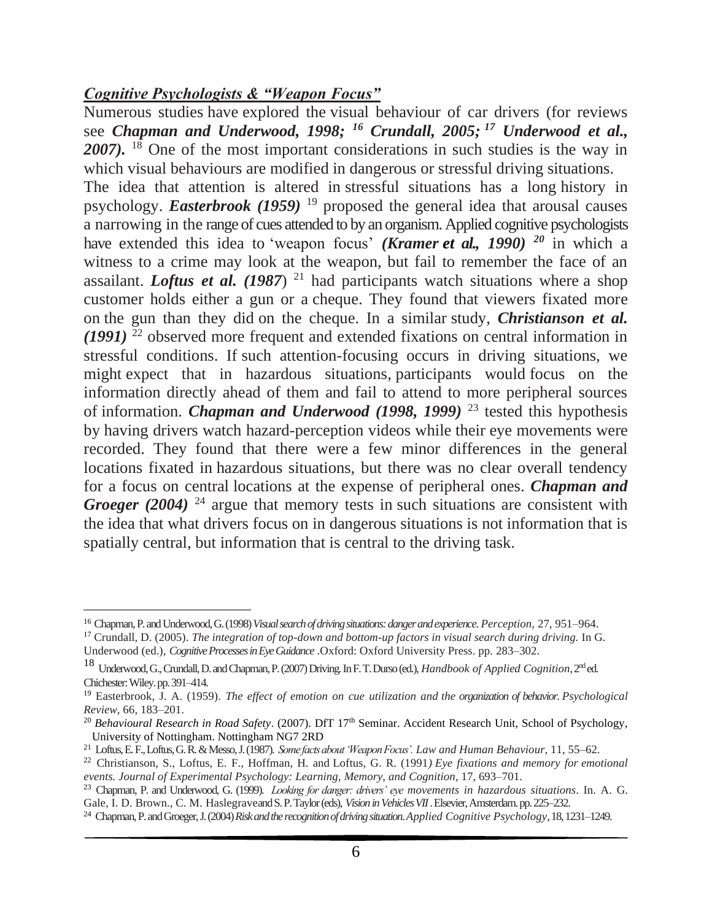#### *Cognitive Psychologists & "Weapon Focus"*

Numerous studies have explored the visual behaviour of car drivers (for reviews see *Chapman and Underwood, 1998; <sup>16</sup> Crundall, 2005; <sup>17</sup> Underwood et al.,*  2007). <sup>18</sup> One of the most important considerations in such studies is the way in which visual behaviours are modified in dangerous or stressful driving situations. The idea that attention is altered in stressful situations has a long history in psychology. *Easterbrook (1959)* <sup>19</sup> proposed the general idea that arousal causes a narrowing in the range of cues attended to by an organism. Applied cognitive psychologists have extended this idea to 'weapon focus' *(Kramer et al., 1990) <sup>20</sup>* in which a witness to a crime may look at the weapon, but fail to remember the face of an assailant. *Loftus et al.* (1987) <sup>21</sup> had participants watch situations where a shop customer holds either a gun or a cheque. They found that viewers fixated more on the gun than they did on the cheque. In a similar study, *Christianson et al. (1991)* <sup>22</sup> observed more frequent and extended fixations on central information in stressful conditions. If such attention-focusing occurs in driving situations, we might expect that in hazardous situations, participants would focus on the information directly ahead of them and fail to attend to more peripheral sources of information. *Chapman and Underwood (1998, 1999)* <sup>23</sup> tested this hypothesis by having drivers watch hazard-perception videos while their eye movements were recorded. They found that there were a few minor differences in the general locations fixated in hazardous situations, but there was no clear overall tendency for a focus on central locations at the expense of peripheral ones. *Chapman and Groeger (2004)* <sup>24</sup> argue that memory tests in such situations are consistent with the idea that what drivers focus on in dangerous situations is not information that is spatially central, but information that is central to the driving task.

<sup>16</sup> Chapman, P. and Underwood, G. (1998) *Visual search of driving situations: dangerand experience*. *Perception*, 27, 951–964.

<sup>17</sup> Crundall, D. (2005). *The integration of top-down and bottom-up factors in visual search during driving.* In G. Underwood (ed.), *Cognitive Processes in Eye Guidance* .Oxford: Oxford University Press. pp. 283–302.

<sup>18</sup> Underwood, G., Crundall, D. and Chapman, P. (2007) Driving*.*In F. T. Durso (ed.), *Handbook of Applied Cognition*, 2nd ed. Chichester: Wiley. pp. 391–414.

<sup>19</sup> Easterbrook, J. A. (1959). *The effect of emotion on cue utilization and the organization of behavior. Psychological Review*, 66, 183–201.

<sup>&</sup>lt;sup>20</sup> *Behavioural Research in Road Safety.* (2007). DfT 17<sup>th</sup> Seminar. Accident Research Unit, School of Psychology, University of Nottingham. Nottingham NG7 2RD

<sup>21</sup> Loftus, E. F., Loftus, G. R. &Messo, J. (1987). *Some facts about 'Weapon Focus'. Law and Human Behaviour,* 11, 55–62.

<sup>22</sup> Christianson, S., Loftus, E. F., Hoffman, H. and Loftus, G. R. (1991*) Eye fixations and memory for emotional events. Journal of Experimental Psychology: Learning, Memory, and Cognition*, 17, 693–701.

<sup>23</sup> Chapman, P. and Underwood, G. (1999). *Looking for danger: drivers' eye movements in hazardous situations*. In. A. G. Gale, I. D. Brown., C. M. Haslegraveand S. P. Taylor (eds), *Visionin Vehicles VII*. Elsevier, Amsterdam. pp. 225–232.

<sup>24</sup> Chapman, P. and Groeger, J. (2004) *Risk and the recognition of driving situation*. *Applied Cognitive Psychology*, 18, 1231–1249.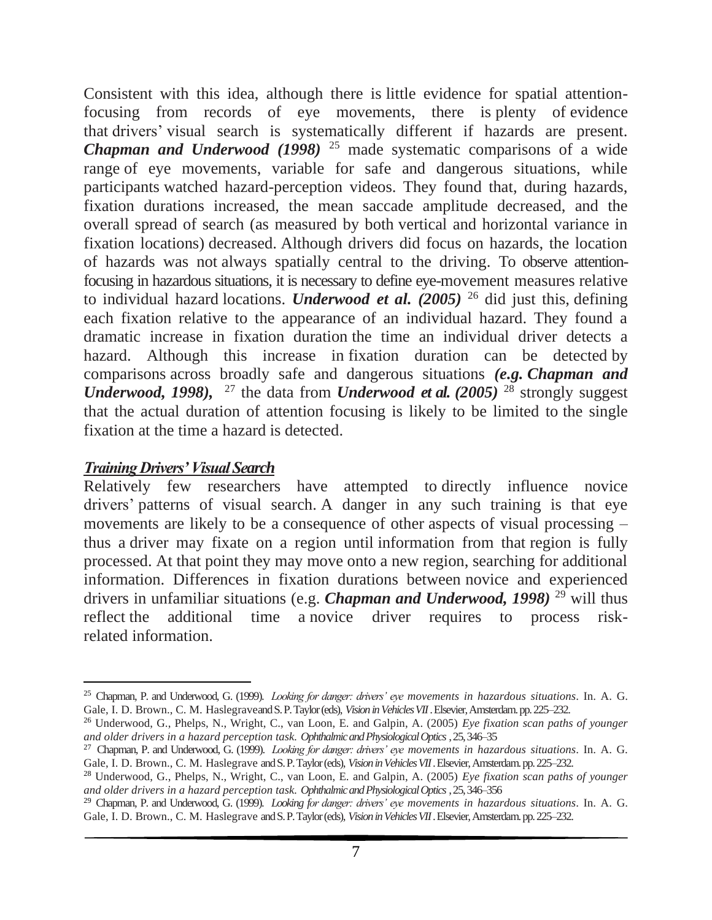Consistent with this idea, although there is little evidence for spatial attentionfocusing from records of eye movements, there is plenty of evidence that drivers' visual search is systematically different if hazards are present. *Chapman and Underwood (1998)* <sup>25</sup> made systematic comparisons of a wide range of eye movements, variable for safe and dangerous situations, while participants watched hazard-perception videos. They found that, during hazards, fixation durations increased, the mean saccade amplitude decreased, and the overall spread of search (as measured by both vertical and horizontal variance in fixation locations) decreased. Although drivers did focus on hazards, the location of hazards was not always spatially central to the driving. To observe attentionfocusing in hazardous situations, it is necessary to define eye-movement measures relative to individual hazard locations. *Underwood et al. (2005)* <sup>26</sup> did just this, defining each fixation relative to the appearance of an individual hazard. They found a dramatic increase in fixation duration the time an individual driver detects a hazard. Although this increase in fixation duration can be detected by comparisons across broadly safe and dangerous situations *(e.g. Chapman and Underwood, 1998),* <sup>27</sup> the data from *Underwood et al. (2005)* <sup>28</sup> strongly suggest that the actual duration of attention focusing is likely to be limited to the single fixation at the time a hazard is detected.

#### *Training Drivers' Visual Search*

Relatively few researchers have attempted to directly influence novice drivers' patterns of visual search. A danger in any such training is that eye movements are likely to be a consequence of other aspects of visual processing – thus a driver may fixate on a region until information from that region is fully processed. At that point they may move onto a new region, searching for additional information. Differences in fixation durations between novice and experienced drivers in unfamiliar situations (e.g. *Chapman and Underwood, 1998*)<sup>29</sup> will thus reflect the additional time a novice driver requires to process riskrelated information.

<sup>25</sup> Chapman, P. and Underwood, G. (1999). *Looking for danger: drivers' eye movements in hazardous situations*. In. A. G. Gale, I. D. Brown., C. M. Haslegraveand S. P. Taylor (eds), *Visionin Vehicles VII*. Elsevier, Amsterdam. pp. 225–232.

<sup>26</sup> Underwood, G., Phelps, N., Wright, C., van Loon, E. and Galpin, A. (2005) *Eye fixation scan paths of younger and older drivers in a hazard perception task. Ophthalmic and Physiological Optics*, 25, 346–35

<sup>27</sup> Chapman, P. and Underwood, G. (1999). *Looking for danger: drivers' eye movements in hazardous situations*. In. A. G. Gale, I. D. Brown., C. M. Haslegrave and S. P. Taylor (eds), *Visionin Vehicles VII*. Elsevier, Amsterdam. pp. 225–232.

<sup>28</sup> Underwood, G., Phelps, N., Wright, C., van Loon, E. and Galpin, A. (2005) *Eye fixation scan paths of younger and older drivers in a hazard perception task. Ophthalmic and Physiological Optics*, 25, 346–356

<sup>29</sup> Chapman, P. and Underwood, G. (1999). *Looking for danger: drivers' eye movements in hazardous situations*. In. A. G. Gale, I. D. Brown., C. M. Haslegrave and S. P. Taylor (eds), *Visionin Vehicles VII*. Elsevier, Amsterdam. pp. 225–232.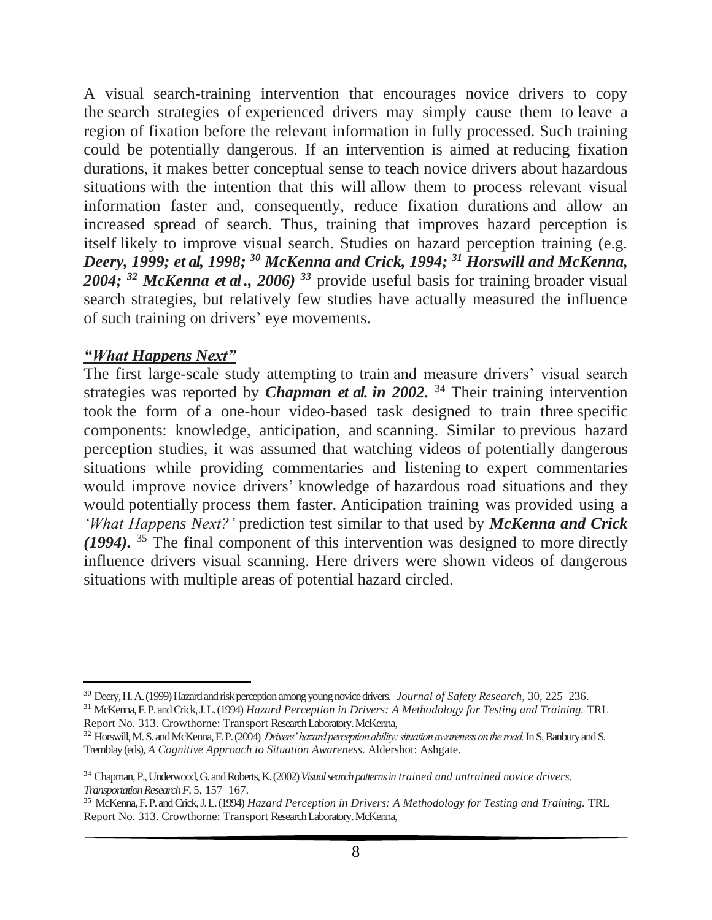A visual search-training intervention that encourages novice drivers to copy the search strategies of experienced drivers may simply cause them to leave a region of fixation before the relevant information in fully processed. Such training could be potentially dangerous. If an intervention is aimed at reducing fixation durations, it makes better conceptual sense to teach novice drivers about hazardous situations with the intention that this will allow them to process relevant visual information faster and, consequently, reduce fixation durations and allow an increased spread of search. Thus, training that improves hazard perception is itself likely to improve visual search. Studies on hazard perception training (e.g. *Deery, 1999; et al, 1998; <sup>30</sup> McKenna and Crick, 1994; <sup>31</sup> Horswill and McKenna, 2004; <sup>32</sup> McKenna et al ., 2006) <sup>33</sup>* provide useful basis for training broader visual search strategies, but relatively few studies have actually measured the influence of such training on drivers' eye movements.

#### *"What Happens Next"*

The first large-scale study attempting to train and measure drivers' visual search strategies was reported by *Chapman et al. in 2002.* <sup>34</sup> Their training intervention took the form of a one-hour video-based task designed to train three specific components: knowledge, anticipation, and scanning. Similar to previous hazard perception studies, it was assumed that watching videos of potentially dangerous situations while providing commentaries and listening to expert commentaries would improve novice drivers' knowledge of hazardous road situations and they would potentially process them faster. Anticipation training was provided using a *'What Happens Next?'* prediction test similar to that used by *McKenna and Crick (1994).* <sup>35</sup> The final component of this intervention was designed to more directly influence drivers visual scanning. Here drivers were shown videos of dangerous situations with multiple areas of potential hazard circled.

<sup>30</sup> Deery, H. A. (1999) Hazard and risk perception among young novice drivers. *Journal of Safety Research*, 30, 225–236.

<sup>31</sup> McKenna, F. P. and Crick, J. L. (1994) *Hazard Perception in Drivers: A Methodology for Testing and Training.* TRL Report No. 313. Crowthorne: Transport Research Laboratory. McKenna,

<sup>32</sup> Horswill, M. S. and McKenna, F. P. (2004) *Drivers' hazard perception ability: situation awareness on the road.*In S. Banbury and S. Tremblay (eds), *A Cognitive Approach to Situation Awareness*. Aldershot: Ashgate.

<sup>34</sup> Chapman, P., Underwood, G. and Roberts, K. (2002) *Visual search patterns in trained and untrained novice drivers. Transportation Research F,* 5, 157–167.

<sup>35</sup> McKenna, F. P. and Crick, J. L. (1994) *Hazard Perception in Drivers: A Methodology for Testing and Training.* TRL Report No. 313. Crowthorne: Transport Research Laboratory. McKenna,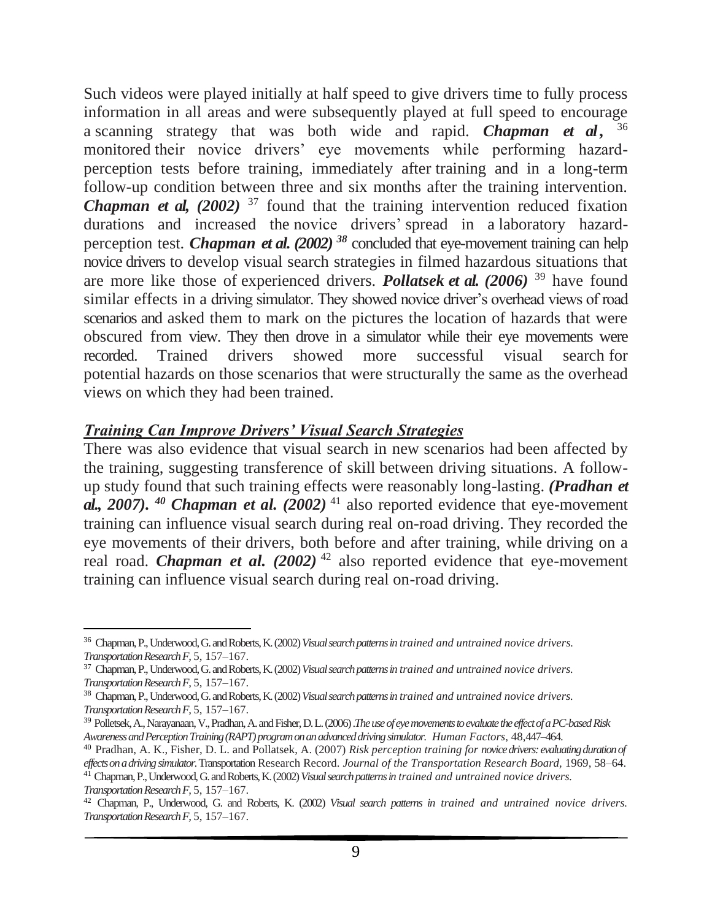Such videos were played initially at half speed to give drivers time to fully process information in all areas and were subsequently played at full speed to encourage a scanning strategy that was both wide and rapid. *Chapman et al ,* 36 monitored their novice drivers' eye movements while performing hazardperception tests before training, immediately after training and in a long-term follow-up condition between three and six months after the training intervention. *Chapman et al,* (2002)<sup>37</sup> found that the training intervention reduced fixation durations and increased the novice drivers' spread in a laboratory hazardperception test. *Chapman et al. (2002) <sup>38</sup>* concluded that eye-movement training can help novice drivers to develop visual search strategies in filmed hazardous situations that are more like those of experienced drivers. *Pollatsek et al. (2006)* <sup>39</sup> have found similar effects in a driving simulator. They showed novice driver's overhead views of road scenarios and asked them to mark on the pictures the location of hazards that were obscured from view. They then drove in a simulator while their eye movements were recorded. Trained drivers showed more successful visual search for potential hazards on those scenarios that were structurally the same as the overhead views on which they had been trained.

#### *Training Can Improve Drivers' Visual Search Strategies*

There was also evidence that visual search in new scenarios had been affected by the training, suggesting transference of skill between driving situations. A followup study found that such training effects were reasonably long-lasting. *(Pradhan et al., 2007). <sup>40</sup> Chapman et al. (2002)* <sup>41</sup> also reported evidence that eye-movement training can influence visual search during real on-road driving. They recorded the eye movements of their drivers, both before and after training, while driving on a real road. *Chapman et al.*  $(2002)^{42}$  also reported evidence that eye-movement training can influence visual search during real on-road driving.

<sup>36</sup> Chapman, P., Underwood, G. and Roberts, K. (2002) *Visual search patterns in trained and untrained novice drivers. Transportation Research F,* 5, 157–167.

<sup>37</sup> Chapman, P., Underwood, G. and Roberts, K. (2002) *Visual search patterns in trained and untrained novice drivers. Transportation Research F,* 5, 157–167.

<sup>38</sup> Chapman, P., Underwood, G. and Roberts, K. (2002) *Visual search patterns in trained and untrained novice drivers. Transportation Research F,* 5, 157–167.

<sup>39</sup> Polletsek, A., Narayanaan, V., Pradhan, A. and Fisher, D. L. (2006) .*The use of eye movements to evaluate the effect of a PC-based Risk Awareness and Perception Training (RAPT) program on an advanced driving simulator. Human Factors*, 48,447–464.

<sup>40</sup> Pradhan, A. K., Fisher, D. L. and Pollatsek, A. (2007) *Risk perception training for novice drivers: evaluating duration of effects on a driving simulator.*Transportation Research Record. *Journal of the Transportation Research Board,* 1969, 58–64.

<sup>41</sup> Chapman,P., Underwood, G. and Roberts, K. (2002) *Visual search patterns in trained and untrained novice drivers. Transportation Research F,* 5, 157–167.

<sup>42</sup> Chapman, P., Underwood, G. and Roberts, K. (2002) *Visual search patterns in trained and untrained novice drivers. Transportation Research F,* 5, 157–167.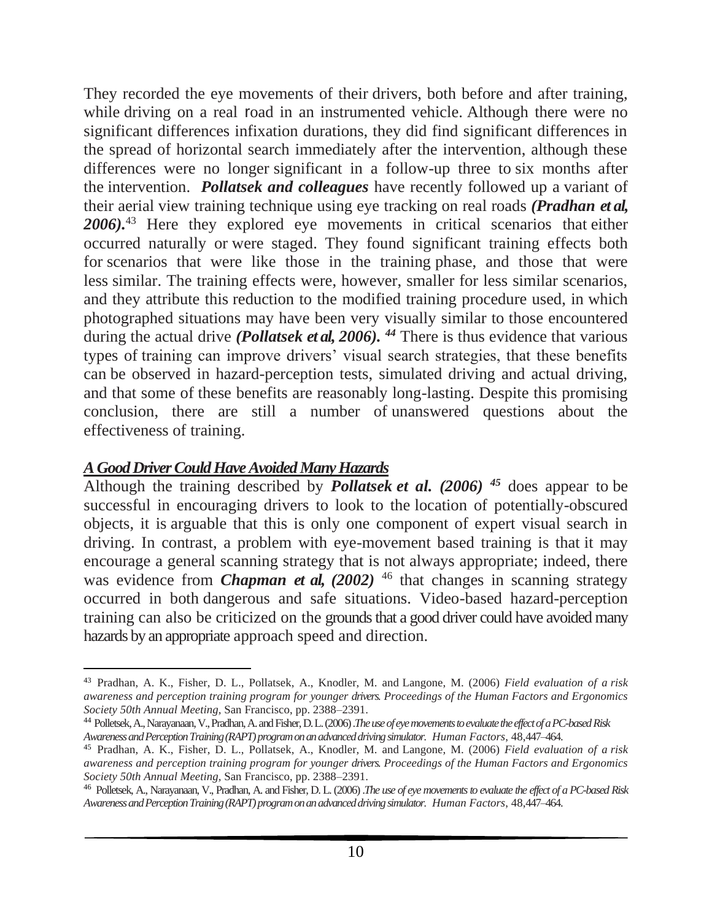They recorded the eye movements of their drivers, both before and after training, while driving on a real road in an instrumented vehicle. Although there were no significant differences infixation durations, they did find significant differences in the spread of horizontal search immediately after the intervention, although these differences were no longer significant in a follow-up three to six months after the intervention. *Pollatsek and colleagues* have recently followed up a variant of their aerial view training technique using eye tracking on real roads *(Pradhan et al, 2006).*<sup>43</sup> Here they explored eye movements in critical scenarios that either occurred naturally or were staged. They found significant training effects both for scenarios that were like those in the training phase, and those that were less similar. The training effects were, however, smaller for less similar scenarios, and they attribute this reduction to the modified training procedure used, in which photographed situations may have been very visually similar to those encountered during the actual drive *(Pollatsek et al, 2006). <sup>44</sup>* There is thus evidence that various types of training can improve drivers' visual search strategies, that these benefits can be observed in hazard-perception tests, simulated driving and actual driving, and that some of these benefits are reasonably long-lasting. Despite this promising conclusion, there are still a number of unanswered questions about the effectiveness of training.

#### *A Good Driver Could Have Avoided Many Hazards*

Although the training described by *Pollatsek et al. (2006) <sup>45</sup>* does appear to be successful in encouraging drivers to look to the location of potentially-obscured objects, it is arguable that this is only one component of expert visual search in driving. In contrast, a problem with eye-movement based training is that it may encourage a general scanning strategy that is not always appropriate; indeed, there was evidence from *Chapman et al,*  $(2002)$  <sup>46</sup> that changes in scanning strategy occurred in both dangerous and safe situations. Video-based hazard-perception training can also be criticized on the grounds that a good driver could have avoided many hazards by an appropriate approach speed and direction.

<sup>43</sup> Pradhan, A. K., Fisher, D. L., Pollatsek, A., Knodler, M. and Langone, M. (2006) *Field evaluation of a risk awareness and perception training program for younger drivers. Proceedings of the Human Factors and Ergonomics Society 50th Annual Meeting,* San Francisco, pp. 2388–2391.

<sup>44</sup> Polletsek, A., Narayanaan, V., Pradhan, A. and Fisher, D. L. (2006) .*The use of eye movements to evaluate the effect of a PC-based Risk Awarenessand Perception Training (RAPT) program on an advanced driving simulator. Human Factors*, 48,447–464.

<sup>45</sup> Pradhan, A. K., Fisher, D. L., Pollatsek, A., Knodler, M. and Langone, M. (2006) *Field evaluation of a risk awareness and perception training program for younger drivers. Proceedings of the Human Factors and Ergonomics Society 50th Annual Meeting,* San Francisco, pp. 2388–2391.

<sup>46</sup> Polletsek, A., Narayanaan, V., Pradhan, A. and Fisher, D. L. (2006) .*The use of eye movements to evaluate the effect of a PC-based Risk Awareness and Perception Training (RAPT) program on an advanced driving simulator. Human Factors*, 48,447–464.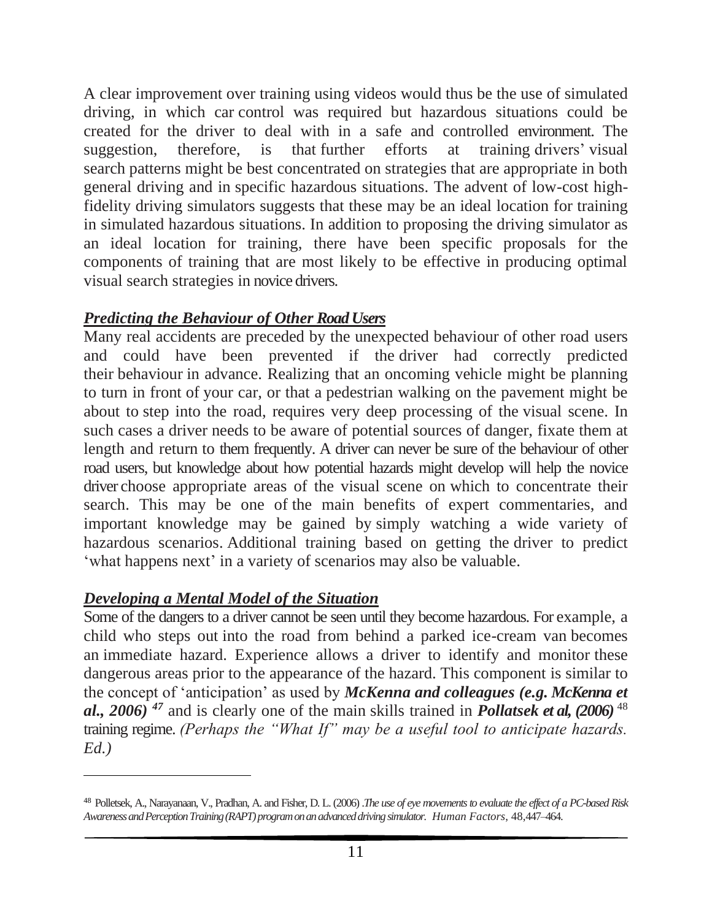A clear improvement over training using videos would thus be the use of simulated driving, in which car control was required but hazardous situations could be created for the driver to deal with in a safe and controlled environment. The suggestion, therefore, is that further efforts at training drivers' visual search patterns might be best concentrated on strategies that are appropriate in both general driving and in specific hazardous situations. The advent of low-cost highfidelity driving simulators suggests that these may be an ideal location for training in simulated hazardous situations. In addition to proposing the driving simulator as an ideal location for training, there have been specific proposals for the components of training that are most likely to be effective in producing optimal visual search strategies in novice drivers.

# *Predicting the Behaviour of Other RoadUsers*

Many real accidents are preceded by the unexpected behaviour of other road users and could have been prevented if the driver had correctly predicted their behaviour in advance. Realizing that an oncoming vehicle might be planning to turn in front of your car, or that a pedestrian walking on the pavement might be about to step into the road, requires very deep processing of the visual scene. In such cases a driver needs to be aware of potential sources of danger, fixate them at length and return to them frequently. A driver can never be sure of the behaviour of other road users, but knowledge about how potential hazards might develop will help the novice driver choose appropriate areas of the visual scene on which to concentrate their search. This may be one of the main benefits of expert commentaries, and important knowledge may be gained by simply watching a wide variety of hazardous scenarios. Additional training based on getting the driver to predict 'what happens next' in a variety of scenarios may also be valuable.

# *Developing a Mental Model of the Situation*

Some of the dangers to a driver cannot be seen until they become hazardous. For example, a child who steps out into the road from behind a parked ice-cream van becomes an immediate hazard. Experience allows a driver to identify and monitor these dangerous areas prior to the appearance of the hazard. This component is similar to the concept of 'anticipation' as used by *McKenna and colleagues (e.g. McKenna et al., 2006) <sup>47</sup>* and is clearly one of the main skills trained in *Pollatsek et al, (2006)* <sup>48</sup> training regime. *(Perhaps the "What If" may be a useful tool to anticipate hazards. Ed.)* 

<sup>48</sup> Polletsek, A., Narayanaan, V., Pradhan, A. and Fisher, D. L. (2006) .*The use of eye movements to evaluate the effect of a PC-based Risk Awareness and Perception Training (RAPT) program on an advanced driving simulator. Human Factors*, 48,447–464.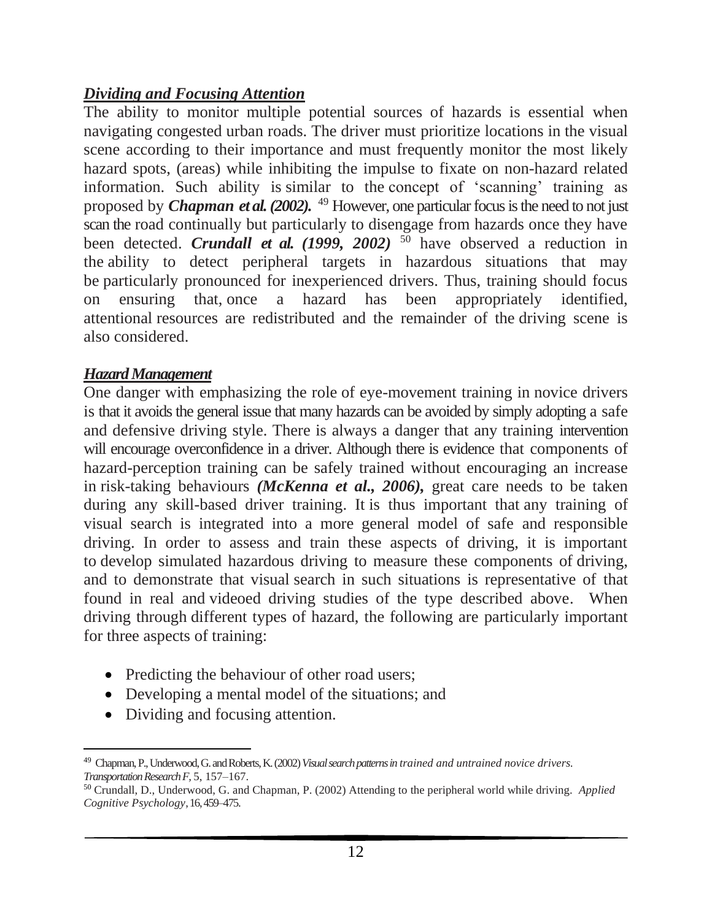# *Dividing and Focusing Attention*

The ability to monitor multiple potential sources of hazards is essential when navigating congested urban roads. The driver must prioritize locations in the visual scene according to their importance and must frequently monitor the most likely hazard spots, (areas) while inhibiting the impulse to fixate on non-hazard related information. Such ability is similar to the concept of 'scanning' training as proposed by *Chapman et al. (2002).* <sup>49</sup> However, one particular focus is the need to not just scan the road continually but particularly to disengage from hazards once they have been detected. *Crundall et al. (1999, 2002)* <sup>50</sup> have observed a reduction in the ability to detect peripheral targets in hazardous situations that may be particularly pronounced for inexperienced drivers. Thus, training should focus on ensuring that, once a hazard has been appropriately identified, attentional resources are redistributed and the remainder of the driving scene is also considered.

# *Hazard Management*

One danger with emphasizing the role of eye-movement training in novice drivers is that it avoids the general issue that many hazards can be avoided by simply adopting a safe and defensive driving style. There is always a danger that any training intervention will encourage overconfidence in a driver. Although there is evidence that components of hazard-perception training can be safely trained without encouraging an increase in risk-taking behaviours *(McKenna et al., 2006),* great care needs to be taken during any skill-based driver training. It is thus important that any training of visual search is integrated into a more general model of safe and responsible driving. In order to assess and train these aspects of driving, it is important to develop simulated hazardous driving to measure these components of driving, and to demonstrate that visual search in such situations is representative of that found in real and videoed driving studies of the type described above. When driving through different types of hazard, the following are particularly important for three aspects of training:

- Predicting the behaviour of other road users;
- Developing a mental model of the situations; and
- Dividing and focusing attention.

<sup>49</sup> Chapman, P., Underwood, G. and Roberts, K. (2002) *Visual search patterns in trained and untrained novice drivers. Transportation Research F,* 5, 157–167.

<sup>50</sup> Crundall, D., Underwood, G. and Chapman, P. (2002) Attending to the peripheral world while driving. *Applied Cognitive Psychology*, 16, 459–475.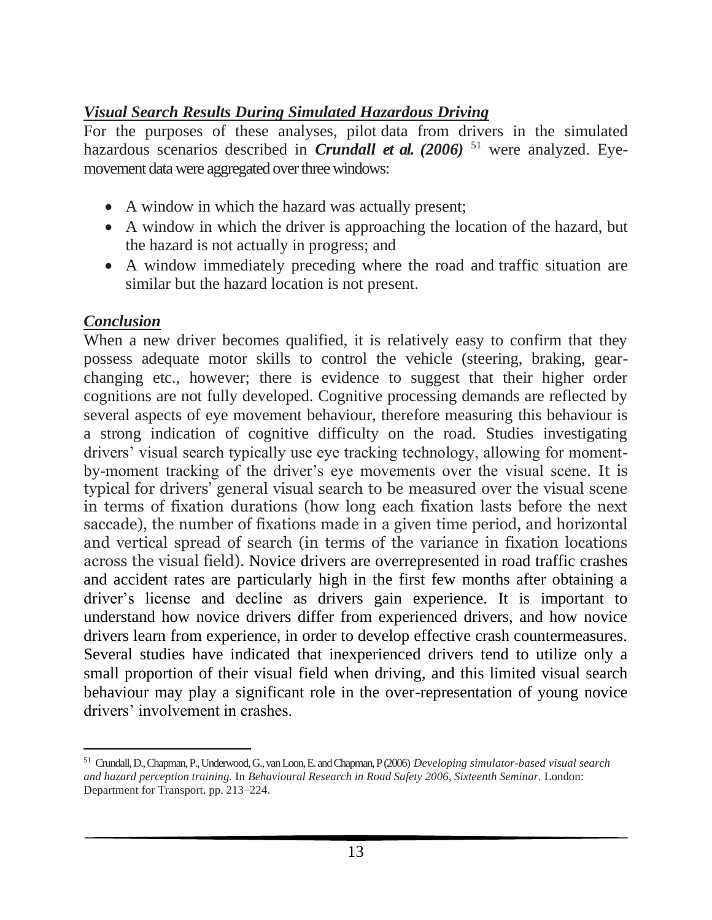# *Visual Search Results During Simulated Hazardous Driving*

For the purposes of these analyses, pilot data from drivers in the simulated hazardous scenarios described in *Crundall et al. (2006)* <sup>51</sup> were analyzed. Eyemovement data were aggregated over three windows:

- A window in which the hazard was actually present;
- A window in which the driver is approaching the location of the hazard, but the hazard is not actually in progress; and
- A window immediately preceding where the road and traffic situation are similar but the hazard location is not present.

# *Conclusion*

When a new driver becomes qualified, it is relatively easy to confirm that they possess adequate motor skills to control the vehicle (steering, braking, gearchanging etc., however; there is evidence to suggest that their higher order cognitions are not fully developed. Cognitive processing demands are reflected by several aspects of eye movement behaviour, therefore measuring this behaviour is a strong indication of cognitive difficulty on the road. Studies investigating drivers' visual search typically use eye tracking technology, allowing for momentby-moment tracking of the driver's eye movements over the visual scene. It is typical for drivers' general visual search to be measured over the visual scene in terms of fixation durations (how long each fixation lasts before the next saccade), the number of fixations made in a given time period, and horizontal and vertical spread of search (in terms of the variance in fixation locations across the visual field). Novice drivers are overrepresented in road traffic crashes and accident rates are particularly high in the first few months after obtaining a driver's license and decline as drivers gain experience. It is important to understand how novice drivers differ from experienced drivers, and how novice drivers learn from experience, in order to develop effective crash countermeasures. Several studies have indicated that inexperienced drivers tend to utilize only a small proportion of their visual field when driving, and this limited visual search behaviour may play a significant role in the over-representation of young novice drivers' involvement in crashes.

<sup>51</sup> Crundall, D., Chapman, P., Underwood, G., van Loon, E. and Chapman, P (2006) *Developing simulator-based visual search and hazard perception training.* In *Behavioural Research in Road Safety 2006, Sixteenth Seminar.* London: Department for Transport. pp. 213–224.